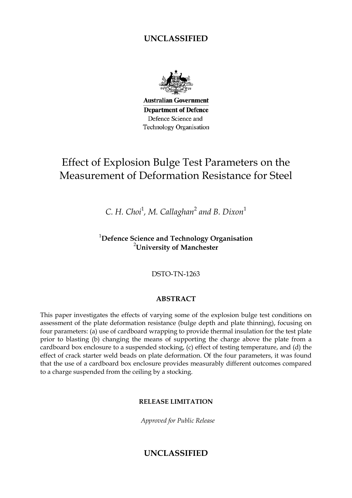

**Australian Government Department of Defence** Defence Science and **Technology Organisation** 

# Effect of Explosion Bulge Test Parameters on the Measurement of Deformation Resistance for Steel

*C. H. Choi*<sup>1</sup> *, M. Callaghan*<sup>2</sup> *and B. Dixon*<sup>1</sup>

1 **Defence Science and Technology Organisation** 2 **University of Manchester**

DSTO-TN-1263

### **ABSTRACT**

This paper investigates the effects of varying some of the explosion bulge test conditions on assessment of the plate deformation resistance (bulge depth and plate thinning), focusing on four parameters: (a) use of cardboard wrapping to provide thermal insulation for the test plate prior to blasting (b) changing the means of supporting the charge above the plate from a cardboard box enclosure to a suspended stocking, (c) effect of testing temperature, and (d) the effect of crack starter weld beads on plate deformation. Of the four parameters, it was found that the use of a cardboard box enclosure provides measurably different outcomes compared to a charge suspended from the ceiling by a stocking.

**RELEASE LIMITATION**

*Approved for Public Release*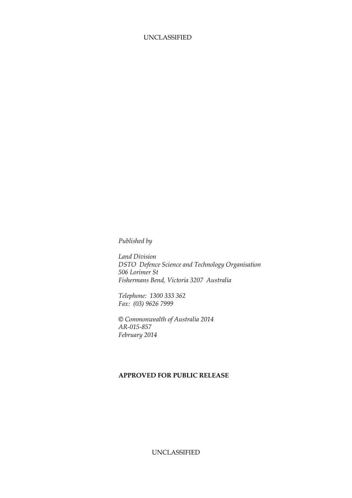*Published by* 

*Land Division DSTO Defence Science and Technology Organisation 506 Lorimer St Fishermans Bend, Victoria 3207 Australia*

*Telephone: 1300 333 362 Fax: (03) 9626 7999*

*© Commonwealth of Australia 2014 AR-015-857 February 2014*

### **APPROVED FOR PUBLIC RELEASE**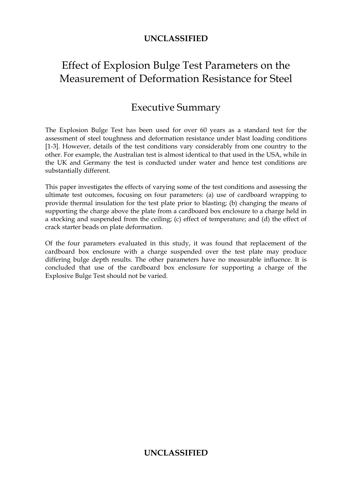# Effect of Explosion Bulge Test Parameters on the Measurement of Deformation Resistance for Steel

# Executive Summary

The Explosion Bulge Test has been used for over 60 years as a standard test for the assessment of steel toughness and deformation resistance under blast loading conditions [1-3]. However, details of the test conditions vary considerably from one country to the other. For example, the Australian test is almost identical to that used in the USA, while in the UK and Germany the test is conducted under water and hence test conditions are substantially different.

This paper investigates the effects of varying some of the test conditions and assessing the ultimate test outcomes, focusing on four parameters: (a) use of cardboard wrapping to provide thermal insulation for the test plate prior to blasting; (b) changing the means of supporting the charge above the plate from a cardboard box enclosure to a charge held in a stocking and suspended from the ceiling; (c) effect of temperature; and (d) the effect of crack starter beads on plate deformation.

Of the four parameters evaluated in this study, it was found that replacement of the cardboard box enclosure with a charge suspended over the test plate may produce differing bulge depth results. The other parameters have no measurable influence. It is concluded that use of the cardboard box enclosure for supporting a charge of the Explosive Bulge Test should not be varied.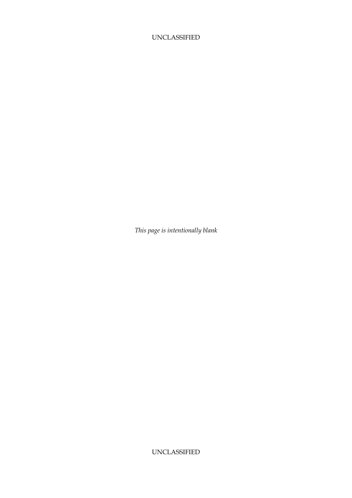*This page is intentionally blank*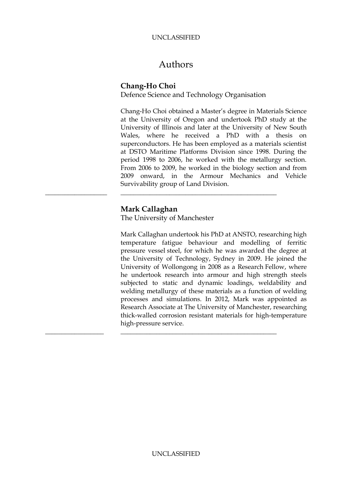# Authors

## **Chang-Ho Choi**

Defence Science and Technology Organisation

Chang-Ho Choi obtained a Master's degree in Materials Science at the University of Oregon and undertook PhD study at the University of Illinois and later at the University of New South Wales, where he received a PhD with a thesis on superconductors. He has been employed as a materials scientist at DSTO Maritime Platforms Division since 1998. During the period 1998 to 2006, he worked with the metallurgy section. From 2006 to 2009, he worked in the biology section and from 2009 onward, in the Armour Mechanics and Vehicle Survivability group of Land Division.

## **Mark Callaghan**

The University of Manchester

\_\_\_\_\_\_\_\_\_\_\_\_\_\_\_\_\_\_\_ \_\_\_\_\_\_\_\_\_\_\_\_\_\_\_\_\_\_\_\_\_\_\_\_\_\_\_\_\_\_\_\_\_\_\_\_\_\_\_\_\_\_\_\_\_\_\_\_

\_\_\_\_\_\_\_\_\_\_\_\_\_\_\_\_\_\_ \_\_\_\_\_\_\_\_\_\_\_\_\_\_\_\_\_\_\_\_\_\_\_\_\_\_\_\_\_\_\_\_\_\_\_\_\_\_\_\_\_\_\_\_\_\_\_\_

Mark Callaghan undertook his PhD at ANSTO, researching high temperature fatigue behaviour and modelling of ferritic pressure vessel steel, for which he was awarded the degree at the University of Technology, Sydney in 2009. He joined the University of Wollongong in 2008 as a Research Fellow, where he undertook research into armour and high strength steels subjected to static and dynamic loadings, weldability and welding metallurgy of these materials as a function of welding processes and simulations. In 2012, Mark was appointed as Research Associate at The University of Manchester, researching thick-walled corrosion resistant materials for high-temperature high-pressure service.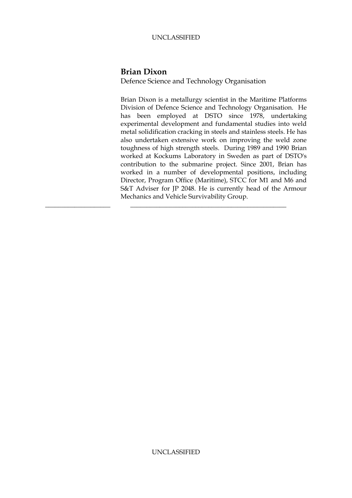\_\_\_\_\_\_\_\_\_\_\_\_\_\_\_\_\_\_\_\_ \_\_\_\_\_\_\_\_\_\_\_\_\_\_\_\_\_\_\_\_\_\_\_\_\_\_\_\_\_\_\_\_\_\_\_\_\_\_\_\_\_\_\_\_\_\_\_\_

# **Brian Dixon**

Defence Science and Technology Organisation

Brian Dixon is a metallurgy scientist in the Maritime Platforms Division of Defence Science and Technology Organisation. He has been employed at DSTO since 1978, undertaking experimental development and fundamental studies into weld metal solidification cracking in steels and stainless steels. He has also undertaken extensive work on improving the weld zone toughness of high strength steels. During 1989 and 1990 Brian worked at Kockums Laboratory in Sweden as part of DSTO's contribution to the submarine project. Since 2001, Brian has worked in a number of developmental positions, including Director, Program Office (Maritime), STCC for M1 and M6 and S&T Adviser for JP 2048. He is currently head of the Armour Mechanics and Vehicle Survivability Group.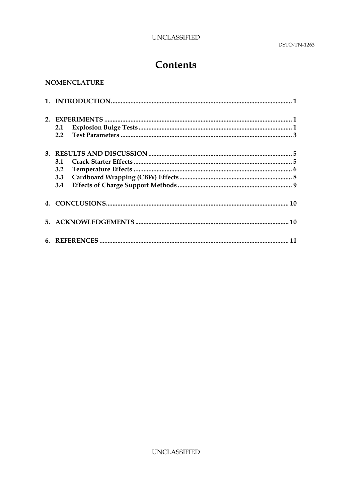# Contents

## **NOMENCLATURE**

| $2^{\circ}$ | 2.1<br>$2.2^{\circ}$                  |
|-------------|---------------------------------------|
|             | 3.1<br>3.2<br>3.3 <sub>1</sub><br>3.4 |
|             |                                       |
|             |                                       |
|             |                                       |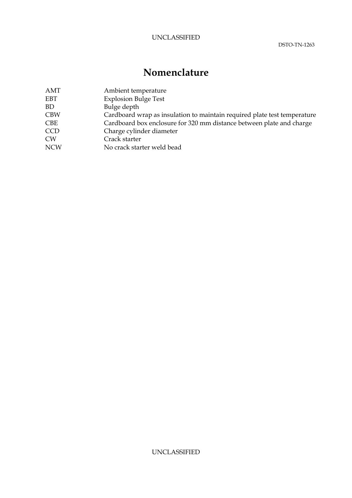# **Nomenclature**

| AMT        | Ambient temperature                                                      |
|------------|--------------------------------------------------------------------------|
| <b>EBT</b> | <b>Explosion Bulge Test</b>                                              |
| <b>BD</b>  | Bulge depth                                                              |
| <b>CBW</b> | Cardboard wrap as insulation to maintain required plate test temperature |
| <b>CBE</b> | Cardboard box enclosure for 320 mm distance between plate and charge     |
| <b>CCD</b> | Charge cylinder diameter                                                 |
| <b>CW</b>  | Crack starter                                                            |
| <b>NCW</b> | No crack starter weld bead                                               |
|            |                                                                          |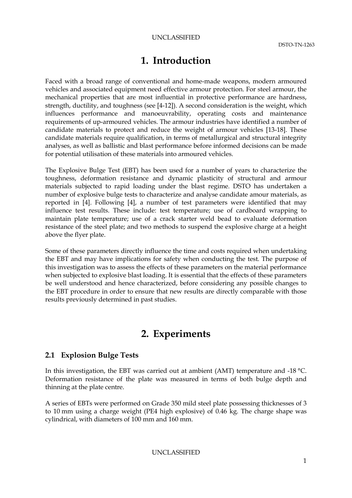# **1. Introduction**

Faced with a broad range of conventional and home-made weapons, modern armoured vehicles and associated equipment need effective armour protection. For steel armour, the mechanical properties that are most influential in protective performance are hardness, strength, ductility, and toughness (see [4-12]). A second consideration is the weight, which influences performance and manoeuvrability, operating costs and maintenance requirements of up-armoured vehicles. The armour industries have identified a number of candidate materials to protect and reduce the weight of armour vehicles [13-18]. These candidate materials require qualification, in terms of metallurgical and structural integrity analyses, as well as ballistic and blast performance before informed decisions can be made for potential utilisation of these materials into armoured vehicles.

The Explosive Bulge Test (EBT) has been used for a number of years to characterize the toughness, deformation resistance and dynamic plasticity of structural and armour materials subjected to rapid loading under the blast regime. DSTO has undertaken a number of explosive bulge tests to characterize and analyse candidate amour materials, as reported in [4]. Following [4], a number of test parameters were identified that may influence test results. These include: test temperature; use of cardboard wrapping to maintain plate temperature; use of a crack starter weld bead to evaluate deformation resistance of the steel plate; and two methods to suspend the explosive charge at a height above the flyer plate.

Some of these parameters directly influence the time and costs required when undertaking the EBT and may have implications for safety when conducting the test. The purpose of this investigation was to assess the effects of these parameters on the material performance when subjected to explosive blast loading. It is essential that the effects of these parameters be well understood and hence characterized, before considering any possible changes to the EBT procedure in order to ensure that new results are directly comparable with those results previously determined in past studies.

# **2. Experiments**

## **2.1 Explosion Bulge Tests**

In this investigation, the EBT was carried out at ambient (AMT) temperature and -18 °C. Deformation resistance of the plate was measured in terms of both bulge depth and thinning at the plate centre.

A series of EBTs were performed on Grade 350 mild steel plate possessing thicknesses of 3 to 10 mm using a charge weight (PE4 high explosive) of 0.46 kg. The charge shape was cylindrical, with diameters of 100 mm and 160 mm.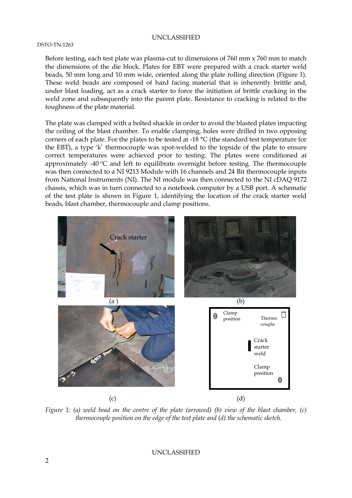#### DSTO-TN-1263

Before testing, each test plate was plasma-cut to dimensions of 760 mm x 760 mm to match the dimensions of the die block. Plates for EBT were prepared with a crack starter weld beads, 50 mm long and 10 mm wide, oriented along the plate rolling direction (Figure 1). These weld beads are composed of hard facing material that is inherently brittle and, under blast loading, act as a crack starter to force the initiation of brittle cracking in the weld zone and subsequently into the parent plate. Resistance to cracking is related to the toughness of the plate material.

The plate was clamped with a bolted shackle in order to avoid the blasted plates impacting the ceiling of the blast chamber. To enable clamping, holes were drilled in two opposing corners of each plate. For the plates to be tested at -18 °C (the standard test temperature for the EBT), a type 'k' thermocouple was spot-welded to the topside of the plate to ensure correct temperatures were achieved prior to testing. The plates were conditioned at approximately -40 ºC and left to equilibrate overnight before testing. The thermocouple was then connected to a NI 9213 Module with 16 channels and 24 Bit thermocouple inputs from National Instruments (NI). The NI module was then connected to the NI cDAQ 9172 chassis, which was in turn connected to a notebook computer by a USB port. A schematic of the test plate is shown in Figure 1, identifying the location of the crack starter weld beads, blast chamber, thermocouple and clamp positions.



*Figure 1: (a) weld bead on the centre of the plate (arrowed) (b) view of the blast chamber, (c) thermocouple position on the edge of the test plate and (d) the schematic sketch.*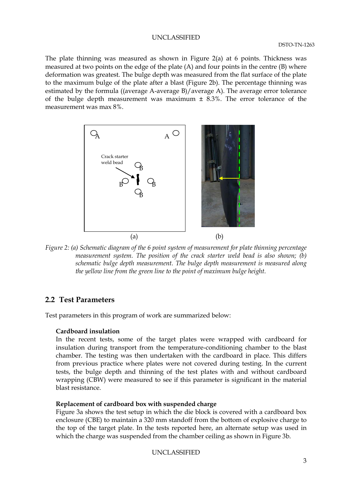The plate thinning was measured as shown in [Figure 2\(](#page-10-0)a) at 6 points. Thickness was measured at two points on the edge of the plate (A) and four points in the centre (B) where deformation was greatest. The bulge depth was measured from the flat surface of the plate to the maximum bulge of the plate after a blast [\(Figure 2b](#page-10-0)). The percentage thinning was estimated by the formula ((average A-average B)/average A). The average error tolerance of the bulge depth measurement was maximum  $\pm$  8.3%. The error tolerance of the measurement was max 8%.



<span id="page-10-0"></span>*Figure 2: (a) Schematic diagram of the 6 point system of measurement for plate thinning percentage measurement system. The position of the crack starter weld bead is also shown; (b) schematic bulge depth measurement. The bulge depth measurement is measured along the yellow line from the green line to the point of maximum bulge height.*

## **2.2 Test Parameters**

Test parameters in this program of work are summarized below:

### **Cardboard insulation**

In the recent tests, some of the target plates were wrapped with cardboard for insulation during transport from the temperature-conditioning chamber to the blast chamber. The testing was then undertaken with the cardboard in place. This differs from previous practice where plates were not covered during testing. In the current tests, the bulge depth and thinning of the test plates with and without cardboard wrapping (CBW) were measured to see if this parameter is significant in the material blast resistance.

## **Replacement of cardboard box with suspended charge**

[Figure 3a](#page-11-0) shows the test setup in which the die block is covered with a cardboard box enclosure (CBE) to maintain a 320 mm standoff from the bottom of explosive charge to the top of the target plate. In the tests reported here, an alternate setup was used in which the charge was suspended from the chamber ceiling as shown in [Figure 3b](#page-11-0).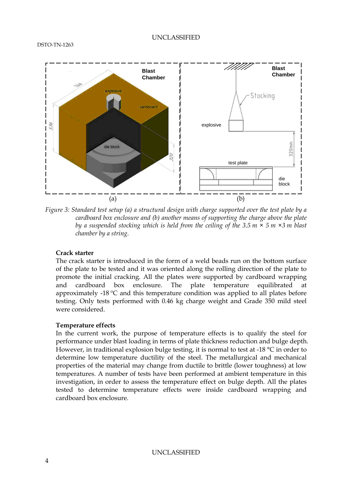#### DSTO-TN-1263



<span id="page-11-0"></span>*Figure 3: Standard test setup (a) a structural design with charge supported over the test plate by a cardboard box enclosure and (b) another means of supporting the charge above the plate by a suspended stocking which is held from the ceiling of the 3.5 m × 5 m ×3 m blast chamber by a string.*

### **Crack starter**

The crack starter is introduced in the form of a weld beads run on the bottom surface of the plate to be tested and it was oriented along the rolling direction of the plate to promote the initial cracking. All the plates were supported by cardboard wrapping and cardboard box enclosure. The plate temperature equilibrated at approximately -18 ºC and this temperature condition was applied to all plates before testing. Only tests performed with 0.46 kg charge weight and Grade 350 mild steel were considered.

#### **Temperature effects**

In the current work, the purpose of temperature effects is to qualify the steel for performance under blast loading in terms of plate thickness reduction and bulge depth. However, in traditional explosion bulge testing, it is normal to test at -18 °C in order to determine low temperature ductility of the steel. The metallurgical and mechanical properties of the material may change from ductile to brittle (lower toughness) at low temperatures. A number of tests have been performed at ambient temperature in this investigation, in order to assess the temperature effect on bulge depth. All the plates tested to determine temperature effects were inside cardboard wrapping and cardboard box enclosure.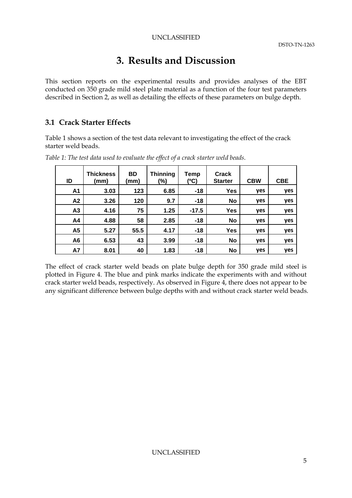# **3. Results and Discussion**

This section reports on the experimental results and provides analyses of the EBT conducted on 350 grade mild steel plate material as a function of the four test parameters described in Section 2, as well as detailing the effects of these parameters on bulge depth.

# **3.1 Crack Starter Effects**

[Table 1](#page-12-0) shows a section of the test data relevant to investigating the effect of the crack starter weld beads.

| ID             | <b>Thickness</b><br>(mm) | <b>BD</b><br>(mm) | <b>Thinning</b><br>(%) | Temp<br>(°C) | <b>Crack</b><br><b>Starter</b> | <b>CBW</b> | <b>CBE</b> |
|----------------|--------------------------|-------------------|------------------------|--------------|--------------------------------|------------|------------|
| A1             | 3.03                     | 123               | 6.85                   | $-18$        | Yes                            | yes        | yes        |
| A2             | 3.26                     | 120               | 9.7                    | $-18$        | No                             | yes        | yes        |
| A <sub>3</sub> | 4.16                     | 75                | 1.25                   | $-17.5$      | <b>Yes</b>                     | yes        | yes        |
| A4             | 4.88                     | 58                | 2.85                   | $-18$        | No                             | yes        | yes        |
| A5             | 5.27                     | 55.5              | 4.17                   | $-18$        | Yes                            | yes        | yes        |
| A <sub>6</sub> | 6.53                     | 43                | 3.99                   | $-18$        | No                             | yes        | yes        |
| A7             | 8.01                     | 40                | 1.83                   | $-18$        | No                             | yes        | yes        |

<span id="page-12-0"></span>*Table 1: The test data used to evaluate the effect of a crack starter weld beads.*

The effect of crack starter weld beads on plate bulge depth for 350 grade mild steel is plotted in [Figure 4.](#page-13-0) The blue and pink marks indicate the experiments with and without crack starter weld beads, respectively. As observed in [Figure 4,](#page-13-0) there does not appear to be any significant difference between bulge depths with and without crack starter weld beads.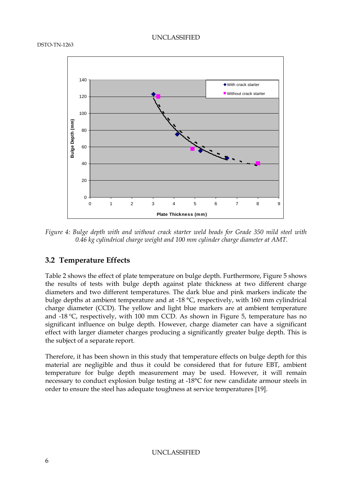

<span id="page-13-0"></span>*Figure 4: Bulge depth with and without crack starter weld beads for Grade 350 mild steel with 0.46 kg cylindrical charge weight and 100 mm cylinder charge diameter at AMT.* 

## **3.2 Temperature Effects**

[Table 2](#page-14-0) shows the effect of plate temperature on bulge depth. Furthermore, [Figure 5](#page-14-1) shows the results of tests with bulge depth against plate thickness at two different charge diameters and two different temperatures. The dark blue and pink markers indicate the bulge depths at ambient temperature and at -18 °C, respectively, with 160 mm cylindrical charge diameter (CCD). The yellow and light blue markers are at ambient temperature and -18 ºC, respectively, with 100 mm CCD. As shown in Figure 5, temperature has no significant influence on bulge depth. However, charge diameter can have a significant effect with larger diameter charges producing a significantly greater bulge depth. This is the subject of a separate report.

Therefore, it has been shown in this study that temperature effects on bulge depth for this material are negligible and thus it could be considered that for future EBT, ambient temperature for bulge depth measurement may be used. However, it will remain necessary to conduct explosion bulge testing at -18°C for new candidate armour steels in order to ensure the steel has adequate toughness at service temperatures [19].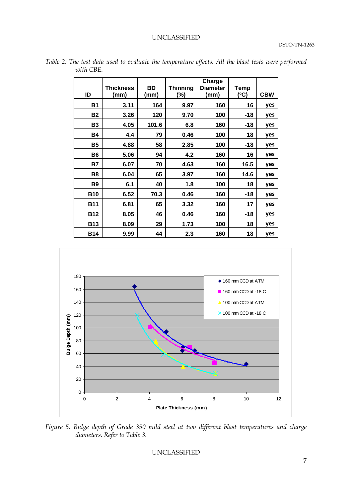#### DSTO-TN-1263

### UNCLASSIFIED

| ID         | Thickness<br>(mm) | <b>BD</b><br>(mm) | <b>Thinning</b><br>(%) | Charge<br><b>Diameter</b><br>(mm) | Temp<br>(°C) | <b>CBW</b> |
|------------|-------------------|-------------------|------------------------|-----------------------------------|--------------|------------|
| <b>B1</b>  | 3.11              | 164               | 9.97                   | 160                               | 16           | yes        |
| <b>B2</b>  | 3.26              | 120               | 9.70                   | 100                               | -18          | yes        |
| <b>B3</b>  | 4.05              | 101.6             | 6.8                    | 160                               | -18          | yes        |
| <b>B4</b>  | 4.4               | 79                | 0.46                   | 100                               | 18           | yes        |
| <b>B5</b>  | 4.88              | 58                | 2.85                   | 100                               | -18          | yes        |
| <b>B6</b>  | 5.06              | 94                | 4.2                    | 160                               | 16           | yes        |
| <b>B7</b>  | 6.07              | 70                | 4.63                   | 160                               | 16.5         | yes        |
| <b>B8</b>  | 6.04              | 65                | 3.97                   | 160                               | 14.6         | yes        |
| <b>B9</b>  | 6.1               | 40                | 1.8                    | 100                               | 18           | yes        |
| <b>B10</b> | 6.52              | 70.3              | 0.46                   | 160                               | -18          | yes        |
| <b>B11</b> | 6.81              | 65                | 3.32                   | 160                               | 17           | yes        |
| <b>B12</b> | 8.05              | 46                | 0.46                   | 160                               | -18          | yes        |
| <b>B13</b> | 8.09              | 29                | 1.73                   | 100                               | 18           | yes        |
| <b>B14</b> | 9.99              | 44                | 2.3                    | 160                               | 18           | yes        |

<span id="page-14-0"></span>*Table 2: The test data used to evaluate the temperature effects. All the blast tests were performed with CBE.*



<span id="page-14-1"></span>*Figure 5: Bulge depth of Grade 350 mild steel at two different blast temperatures and charge diameters. Refer to [Table 3.](#page-15-0)*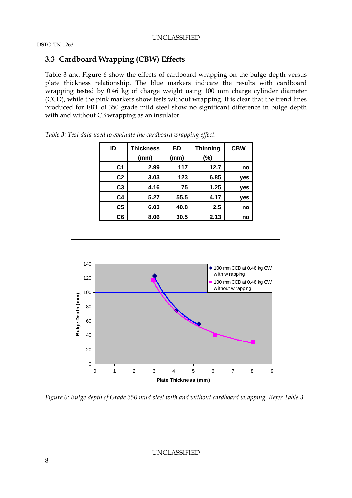# **3.3 Cardboard Wrapping (CBW) Effects**

[Table 3](#page-15-0) and [Figure 6](#page-15-1) show the effects of cardboard wrapping on the bulge depth versus plate thickness relationship. The blue markers indicate the results with cardboard wrapping tested by 0.46 kg of charge weight using 100 mm charge cylinder diameter (CCD), while the pink markers show tests without wrapping. It is clear that the trend lines produced for EBT of 350 grade mild steel show no significant difference in bulge depth with and without CB wrapping as an insulator.

| ID             | <b>Thickness</b> | <b>BD</b> | <b>Thinning</b> | <b>CBW</b> |
|----------------|------------------|-----------|-----------------|------------|
|                | (mm)             | (mm)      | (%)             |            |
| C <sub>1</sub> | 2.99             | 117       | 12.7            | no         |
| C <sub>2</sub> | 3.03             | 123       | 6.85            | yes        |
| C <sub>3</sub> | 4.16             | 75        | 1.25            | yes        |
| C <sub>4</sub> | 5.27             | 55.5      | 4.17            | yes        |
| C <sub>5</sub> | 6.03             | 40.8      | 2.5             | no         |
| C <sub>6</sub> | 8.06             | 30.5      | 2.13            | no         |

<span id="page-15-0"></span>*Table 3: Test data used to evaluate the cardboard wrapping effect.*



<span id="page-15-1"></span>*Figure 6: Bulge depth of Grade 350 mild steel with and without cardboard wrapping. Refe[r Table 3.](#page-15-0)*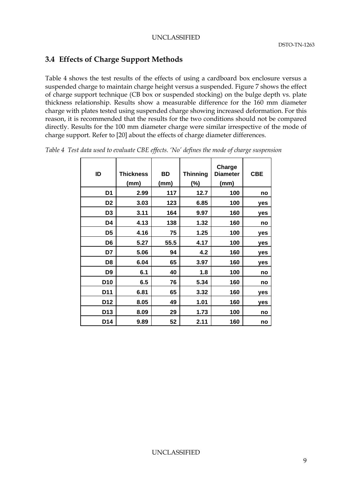# **3.4 Effects of Charge Support Methods**

[Table 4](#page-16-0) shows the test results of the effects of using a cardboard box enclosure versus a suspended charge to maintain charge height versus a suspended. [Figure](#page-17-0) 7 shows the effect of charge support technique (CB box or suspended stocking) on the bulge depth vs. plate thickness relationship. Results show a measurable difference for the 160 mm diameter charge with plates tested using suspended charge showing increased deformation. For this reason, it is recommended that the results for the two conditions should not be compared directly. Results for the 100 mm diameter charge were similar irrespective of the mode of charge support. Refer to [20] about the effects of charge diameter differences.

| ID              | <b>Thickness</b><br>(mm) | BD<br>(mm) | <b>Thinning</b><br>(%) | Charge<br><b>Diameter</b><br>(mm) | <b>CBE</b> |
|-----------------|--------------------------|------------|------------------------|-----------------------------------|------------|
| D1              | 2.99                     | 117        | 12.7                   | 100                               | no         |
| D <sub>2</sub>  | 3.03                     | 123        | 6.85                   | 100                               | ves        |
| D <sub>3</sub>  | 3.11                     | 164        | 9.97                   | 160                               | yes        |
| D4              | 4.13                     | 138        | 1.32                   | 160                               | no         |
| D <sub>5</sub>  | 4.16                     | 75         | 1.25                   | 100                               | <b>ves</b> |
| D <sub>6</sub>  | 5.27                     | 55.5       | 4.17                   | 100                               | yes        |
| D7              | 5.06                     | 94         | 4.2                    | 160                               | <b>ves</b> |
| D8              | 6.04                     | 65         | 3.97                   | 160                               | yes        |
| D <sub>9</sub>  | 6.1                      | 40         | 1.8                    | 100                               | no         |
| D <sub>10</sub> | 6.5                      | 76         | 5.34                   | 160                               | no         |
| D11             | 6.81                     | 65         | 3.32                   | 160                               | yes        |
| D12             | 8.05                     | 49         | 1.01                   | 160                               | <b>ves</b> |
| D <sub>13</sub> | 8.09                     | 29         | 1.73                   | 100                               | no         |
| D14             | 9.89                     | 52         | 2.11                   | 160                               | no         |

<span id="page-16-0"></span>*Table 4 Test data used to evaluate CBE effects. 'No' defines the mode of charge suspension*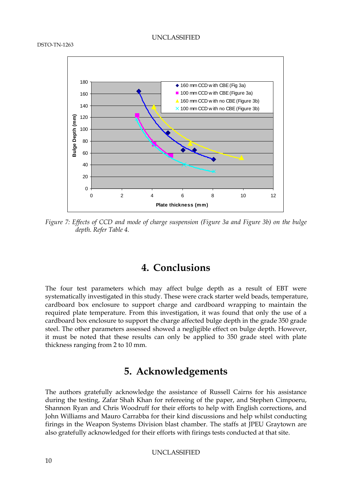

<span id="page-17-0"></span>*Figure 7: Effects of CCD and mode of charge suspension [\(Figure 3a](#page-11-0) and [Figure 3b](#page-11-0)) on the bulge depth. Refer [Table 4.](#page-16-0)*

# **4. Conclusions**

The four test parameters which may affect bulge depth as a result of EBT were systematically investigated in this study. These were crack starter weld beads, temperature, cardboard box enclosure to support charge and cardboard wrapping to maintain the required plate temperature. From this investigation, it was found that only the use of a cardboard box enclosure to support the charge affected bulge depth in the grade 350 grade steel. The other parameters assessed showed a negligible effect on bulge depth. However, it must be noted that these results can only be applied to 350 grade steel with plate thickness ranging from 2 to 10 mm.

# **5. Acknowledgements**

The authors gratefully acknowledge the assistance of Russell Cairns for his assistance during the testing, Zafar Shah Khan for refereeing of the paper, and Stephen Cimpoeru, Shannon Ryan and Chris Woodruff for their efforts to help with English corrections, and John Williams and Mauro Carrabba for their kind discussions and help whilst conducting firings in the Weapon Systems Division blast chamber. The staffs at JPEU Graytown are also gratefully acknowledged for their efforts with firings tests conducted at that site.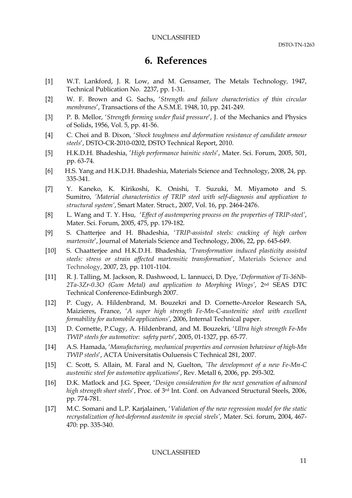# **6. References**

- [1] W.T. Lankford, J. R. Low, and M. Gensamer, The Metals Technology*,* 1947, Technical Publication No. 2237, pp. 1-31.
- [2] W. F. Brown and G. Sachs, '*Strength and failure characteristics of thin circular membranes*', Transactions of the A.S.M.E. 1948, 10, pp. 241-249.
- [3] P. B. Mellor, '*Strength forming under fluid pressure*', J. of the Mechanics and Physics of Solids, 1956, Vol. 5, pp. 41-56.
- [4] C. Choi and B. Dixon, '*Shock toughness and deformation resistance of candidate armour steels*', DSTO-CR-2010-0202, DSTO Technical Report, 2010.
- [5] H.K.D.H. Bhadeshia, '*High performance bainitic steels*', Mater. Sci. Forum, 2005, 501, pp. 63-74.
- [6] H.S. Yang and H.K.D.H. Bhadeshia, Materials Science and Technology, 2008, 24, pp. 335-341.
- [7] Y. Kaneko, K. Kirikoshi, K. Onishi, T. Suzuki, M. Miyamoto and S. Sumitro, *'Material characteristics of TRIP steel with self-diagnosis and application to structural system'*, Smart Mater. Struct., 2007, Vol. 16, pp. 2464-2476.
- [8] L. Wang and T. Y. Hsu, '*Effect of austempering process on the properties of TRIP-steel'*, Mater. Sci. Forum, 2005, 475, pp. 179-182.
- [9] S. Chatterjee and H. Bhadeshia, '*TRIP-assisted steels: cracking of high carbon martensite*', Journal of Materials Science and Technology, 2006, 22, pp. 645-649.
- [10] S. Chaatterjee and H.K.D.H. Bhadeshia, '*Transformation induced plasticity assisted steels: stress or strain affected martensitic transformation*', Materials Science and Technology, 2007, 23, pp. 1101-1104.
- [11] R. J. Talling, M. Jackson, R. Dashwood, L. Iannucci, D. Dye, '*Deformation of Ti-36Nb-2Ta-3Zr-0.3O (Gum Metal) and application to Morphing Wings'*, 2nd SEAS DTC Technical Conference-Edinburgh 2007.
- [12] P. Cugy, A. Hildenbrand, M. Bouzekri and D. Cornette-Arcelor Research SA, Maizieres, France, '*A super high strength Fe-Mn-C-austenitic steel with excellent formability for automobile applications'*, 2006, Internal Technical paper.
- [13] D. Cornette, P.Cugy, A. Hildenbrand, and M. Bouzekri, '*Ultra high strength Fe-Mn TWIP steels for automotive: safety parts*', 2005, 01-1327, pp. 65-77.
- [14] A.S. Hamada, '*Manufacturing, mechanical properties and corrosion behaviour of high-Mn TWIP steels*', ACTA Universitatis Ouluensis C Technical 281, 2007.
- [15] C. Scott, S. Allain, M. Faral and N, Guelton, *'The development of a new Fe-Mn-C austenitic steel for automotive applications*', Rev. Metall 6, 2006, pp. 293-302.
- [16] D.K. Matlock and J.G. Speer, '*Design consideration for the next generation of advanced high strength sheet steels*', Proc. of 3rd Int. Conf. on Advanced Structural Steels, 2006, pp. 774-781.
- [17] M.C. Somani and L.P. Karjalainen, '*Validation of the new regression model for the static recrystalization of hot-deformed austenite in special steels'*, Mater. Sci. forum, 2004, 467- 470: pp. 335-340.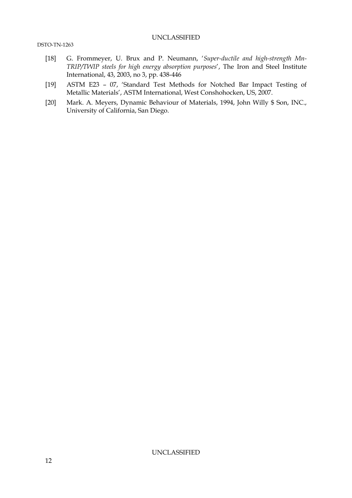#### DSTO-TN-1263

- [18] G. Frommeyer, U. Brux and P. Neumann, '*Super-ductile and high-strength Mn-TRIP/TWIP steels for high energy absorption purposes*', The Iron and Steel Institute International, 43, 2003, no 3, pp. 438-446
- [19] ASTM E23 07, 'Standard Test Methods for Notched Bar Impact Testing of Metallic Materials', ASTM International, West Conshohocken, US, 2007.
- [20] Mark. A. Meyers, Dynamic Behaviour of Materials, 1994, John Willy \$ Son, INC., University of California, San Diego.